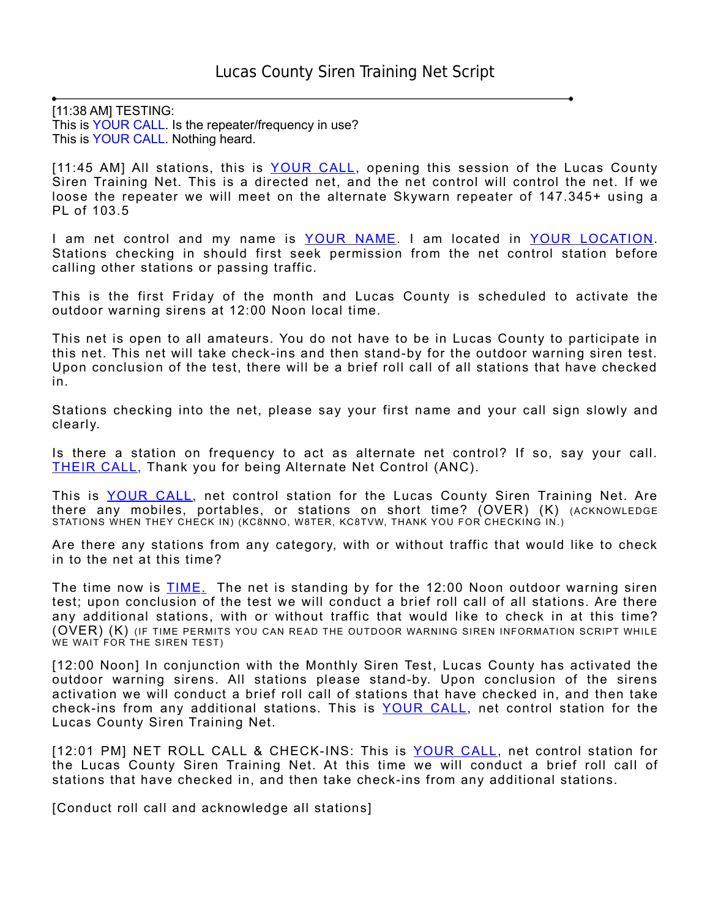[11:38 AM] TESTING: This is YOUR CALL. Is the repeater/frequency in use? This is YOUR CALL. Nothing heard.

[11:45 AM] All stations, this is YOUR CALL, opening this session of the Lucas County Siren Training Net. This is a directed net, and the net control will control the net. If we loose the repeater we will meet on the alternate Skywarn repeater of 147.345+ using a PL of 103.5

I am net control and my name is <u>YOUR NAME</u>. I am located in <u>YOUR LOCATION</u>. Stations checking in should first seek permission from the net control station before calling other stations or passing traffic.

This is the first Friday of the month and Lucas County is scheduled to activate the outdoor warning sirens at 12:00 Noon local time.

This net is open to all amateurs. You do not have to be in Lucas County to participate in this net. This net will take check-ins and then stand-by for the outdoor warning siren test. Upon conclusion of the test, there will be a brief roll call of all stations that have checked in.

Stations checking into the net, please say your first name and your call sign slowly and clearly.

Is there a station on frequency to act as alternate net control? If so, say your call. THEIR CALL, Thank you for being Alternate Net Control (ANC).

This is YOUR CALL, net control station for the Lucas County Siren Training Net. Are there any mobiles, portables, or stations on short time? (OVER) (K) (ACKNOWLEDGE STATIONS WHEN THEY CHECK IN) (KC8NNO, W8TER, KC8TVW, THANK YOU FOR CHECKING IN.)

Are there any stations from any category, with or without traffic that would like to check in to the net at this time?

The time now is **TIME**. The net is standing by for the 12:00 Noon outdoor warning siren test; upon conclusion of the test we will conduct a brief roll call of all stations. Are there any additional stations, with or without traffic that would like to check in at this time? (OVER) (K) (IF TIME PERMITS YOU CAN READ THE OUTDOOR WARNING SIREN INFORMATION SCRIPT WHILE WE WAIT FOR THE SIREN TEST)

[12:00 Noon] In conjunction with the Monthly Siren Test, Lucas County has activated the outdoor warning sirens. All stations please stand-by. Upon conclusion of the sirens activation we will conduct a brief roll call of stations that have checked in, and then take check-ins from any additional stations. This is YOUR CALL, net control station for the Lucas County Siren Training Net.

[12:01 PM] NET ROLL CALL & CHECK-INS: This is YOUR CALL, net control station for the Lucas County Siren Training Net. At this time we will conduct a brief roll call of stations that have checked in, and then take check-ins from any additional stations.

[Conduct roll call and acknowledge all stations]